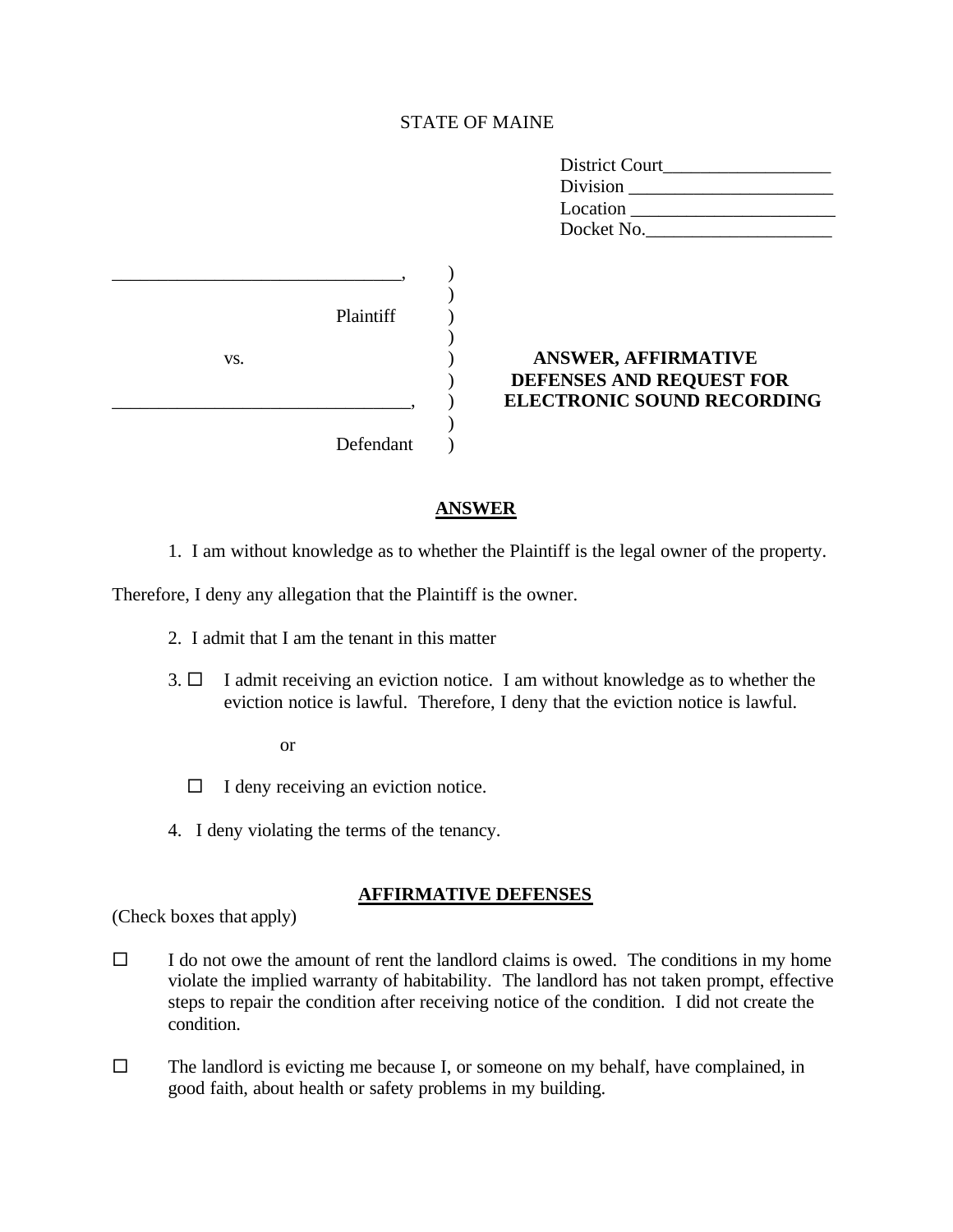### STATE OF MAINE

| District Court |
|----------------|
| Division       |
| Location       |
| Docket No.     |

|     | Plaintiff |                                                                                             |
|-----|-----------|---------------------------------------------------------------------------------------------|
| VS. |           | <b>ANSWER, AFFIRMATIVE</b><br>DEFENSES AND REQUEST FOR<br><b>ELECTRONIC SOUND RECORDING</b> |
|     | Defendant |                                                                                             |

#### **ANSWER**

1. I am without knowledge as to whether the Plaintiff is the legal owner of the property.

Therefore, I deny any allegation that the Plaintiff is the owner.

- 2. I admit that I am the tenant in this matter
- $3. \Box$  I admit receiving an eviction notice. I am without knowledge as to whether the eviction notice is lawful. Therefore, I deny that the eviction notice is lawful.

or

- $\Box$  I deny receiving an eviction notice.
- 4. I deny violating the terms of the tenancy.

## **AFFIRMATIVE DEFENSES**

(Check boxes that apply)

- $\square$  I do not owe the amount of rent the landlord claims is owed. The conditions in my home violate the implied warranty of habitability. The landlord has not taken prompt, effective steps to repair the condition after receiving notice of the condition. I did not create the condition.
- $\square$  The landlord is evicting me because I, or someone on my behalf, have complained, in good faith, about health or safety problems in my building.